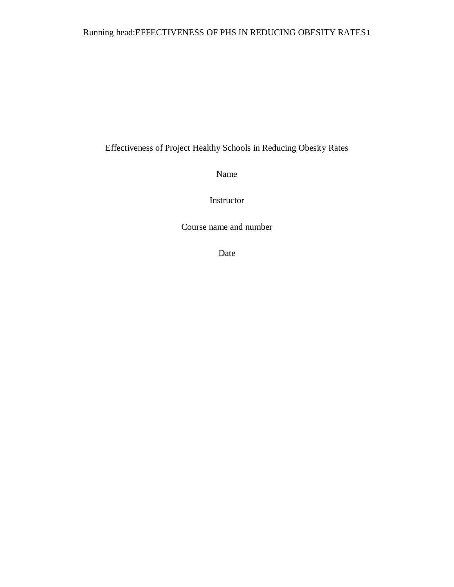# Running head:EFFECTIVENESS OF PHS IN REDUCING OBESITY RATES1

Effectiveness of Project Healthy Schools in Reducing Obesity Rates

Name

Instructor

Course name and number

Date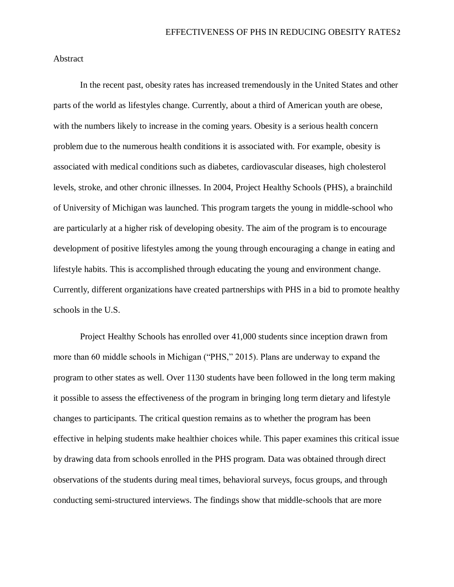Abstract

In the recent past, obesity rates has increased tremendously in the United States and other parts of the world as lifestyles change. Currently, about a third of American youth are obese, with the numbers likely to increase in the coming years. Obesity is a serious health concern problem due to the numerous health conditions it is associated with. For example, obesity is associated with medical conditions such as diabetes, cardiovascular diseases, high cholesterol levels, stroke, and other chronic illnesses. In 2004, Project Healthy Schools (PHS), a brainchild of University of Michigan was launched. This program targets the young in middle-school who are particularly at a higher risk of developing obesity. The aim of the program is to encourage development of positive lifestyles among the young through encouraging a change in eating and lifestyle habits. This is accomplished through educating the young and environment change. Currently, different organizations have created partnerships with PHS in a bid to promote healthy schools in the U.S.

Project Healthy Schools has enrolled over 41,000 students since inception drawn from more than 60 middle schools in Michigan ("PHS," 2015). Plans are underway to expand the program to other states as well. Over 1130 students have been followed in the long term making it possible to assess the effectiveness of the program in bringing long term dietary and lifestyle changes to participants. The critical question remains as to whether the program has been effective in helping students make healthier choices while. This paper examines this critical issue by drawing data from schools enrolled in the PHS program. Data was obtained through direct observations of the students during meal times, behavioral surveys, focus groups, and through conducting semi-structured interviews. The findings show that middle-schools that are more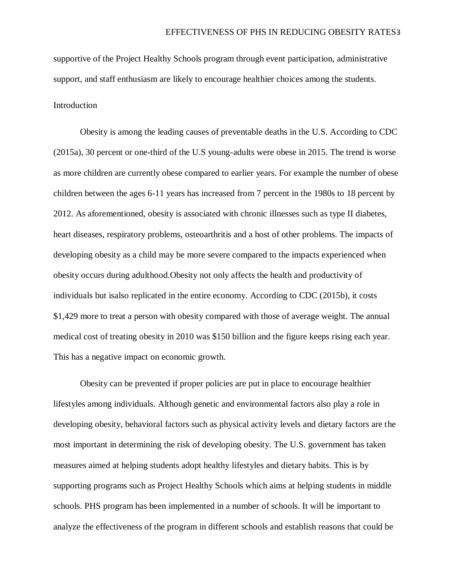supportive of the Project Healthy Schools program through event participation, administrative support, and staff enthusiasm are likely to encourage healthier choices among the students.

## Introduction

Obesity is among the leading causes of preventable deaths in the U.S. According to CDC (2015a), 30 percent or one-third of the U.S young-adults were obese in 2015. The trend is worse as more children are currently obese compared to earlier years. For example the number of obese children between the ages 6-11 years has increased from 7 percent in the 1980s to 18 percent by 2012. As aforementioned, obesity is associated with chronic illnesses such as type II diabetes, heart diseases, respiratory problems, osteoarthritis and a host of other problems. The impacts of developing obesity as a child may be more severe compared to the impacts experienced when obesity occurs during adulthood.Obesity not only affects the health and productivity of individuals but isalso replicated in the entire economy. According to CDC (2015b), it costs \$1,429 more to treat a person with obesity compared with those of average weight. The annual medical cost of treating obesity in 2010 was \$150 billion and the figure keeps rising each year. This has a negative impact on economic growth.

Obesity can be prevented if proper policies are put in place to encourage healthier lifestyles among individuals. Although genetic and environmental factors also play a role in developing obesity, behavioral factors such as physical activity levels and dietary factors are the most important in determining the risk of developing obesity. The U.S. government has taken measures aimed at helping students adopt healthy lifestyles and dietary habits. This is by supporting programs such as Project Healthy Schools which aims at helping students in middle schools. PHS program has been implemented in a number of schools. It will be important to analyze the effectiveness of the program in different schools and establish reasons that could be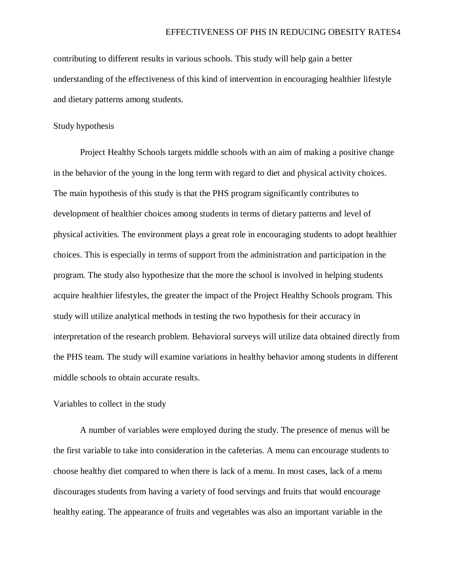contributing to different results in various schools. This study will help gain a better understanding of the effectiveness of this kind of intervention in encouraging healthier lifestyle and dietary patterns among students.

#### Study hypothesis

Project Healthy Schools targets middle schools with an aim of making a positive change in the behavior of the young in the long term with regard to diet and physical activity choices. The main hypothesis of this study is that the PHS program significantly contributes to development of healthier choices among students in terms of dietary patterns and level of physical activities. The environment plays a great role in encouraging students to adopt healthier choices. This is especially in terms of support from the administration and participation in the program. The study also hypothesize that the more the school is involved in helping students acquire healthier lifestyles, the greater the impact of the Project Healthy Schools program. This study will utilize analytical methods in testing the two hypothesis for their accuracy in interpretation of the research problem. Behavioral surveys will utilize data obtained directly from the PHS team. The study will examine variations in healthy behavior among students in different middle schools to obtain accurate results.

#### Variables to collect in the study

A number of variables were employed during the study. The presence of menus will be the first variable to take into consideration in the cafeterias. A menu can encourage students to choose healthy diet compared to when there is lack of a menu. In most cases, lack of a menu discourages students from having a variety of food servings and fruits that would encourage healthy eating. The appearance of fruits and vegetables was also an important variable in the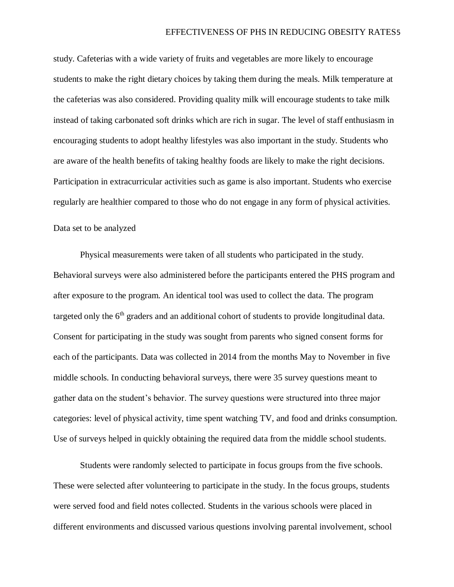study. Cafeterias with a wide variety of fruits and vegetables are more likely to encourage students to make the right dietary choices by taking them during the meals. Milk temperature at the cafeterias was also considered. Providing quality milk will encourage students to take milk instead of taking carbonated soft drinks which are rich in sugar. The level of staff enthusiasm in encouraging students to adopt healthy lifestyles was also important in the study. Students who are aware of the health benefits of taking healthy foods are likely to make the right decisions. Participation in extracurricular activities such as game is also important. Students who exercise regularly are healthier compared to those who do not engage in any form of physical activities.

#### Data set to be analyzed

Physical measurements were taken of all students who participated in the study. Behavioral surveys were also administered before the participants entered the PHS program and after exposure to the program. An identical tool was used to collect the data. The program targeted only the  $6<sup>th</sup>$  graders and an additional cohort of students to provide longitudinal data. Consent for participating in the study was sought from parents who signed consent forms for each of the participants. Data was collected in 2014 from the months May to November in five middle schools. In conducting behavioral surveys, there were 35 survey questions meant to gather data on the student's behavior. The survey questions were structured into three major categories: level of physical activity, time spent watching TV, and food and drinks consumption. Use of surveys helped in quickly obtaining the required data from the middle school students.

Students were randomly selected to participate in focus groups from the five schools. These were selected after volunteering to participate in the study. In the focus groups, students were served food and field notes collected. Students in the various schools were placed in different environments and discussed various questions involving parental involvement, school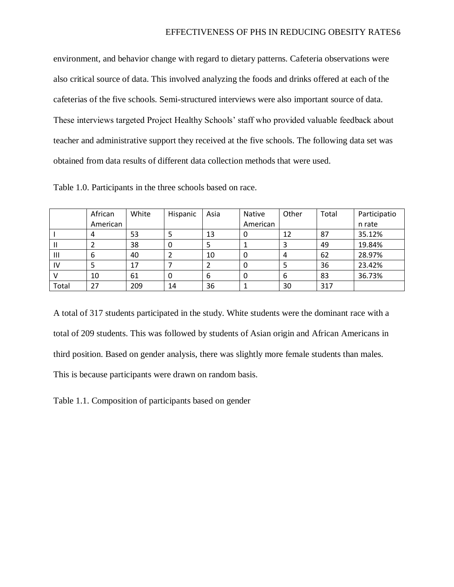environment, and behavior change with regard to dietary patterns. Cafeteria observations were also critical source of data. This involved analyzing the foods and drinks offered at each of the cafeterias of the five schools. Semi-structured interviews were also important source of data. These interviews targeted Project Healthy Schools' staff who provided valuable feedback about teacher and administrative support they received at the five schools. The following data set was obtained from data results of different data collection methods that were used.

|                | African  | White | Hispanic | Asia | Native   | Other | Total | Participatio |
|----------------|----------|-------|----------|------|----------|-------|-------|--------------|
|                | American |       |          |      | American |       |       | n rate       |
|                | 4        | 53    |          | 13   | O        | 12    | 87    | 35.12%       |
|                |          | 38    | 0        |      |          | ∍     | 49    | 19.84%       |
| $\mathbf{III}$ | 6        | 40    |          | 10   | O        | 4     | 62    | 28.97%       |
| IV             |          | 17    |          |      | 0        |       | 36    | 23.42%       |
|                | 10       | 61    | 0        | 6    | 0        | 6     | 83    | 36.73%       |
| Total          | 27       | 209   | 14       | 36   |          | 30    | 317   |              |

Table 1.0. Participants in the three schools based on race.

A total of 317 students participated in the study. White students were the dominant race with a total of 209 students. This was followed by students of Asian origin and African Americans in third position. Based on gender analysis, there was slightly more female students than males. This is because participants were drawn on random basis.

Table 1.1. Composition of participants based on gender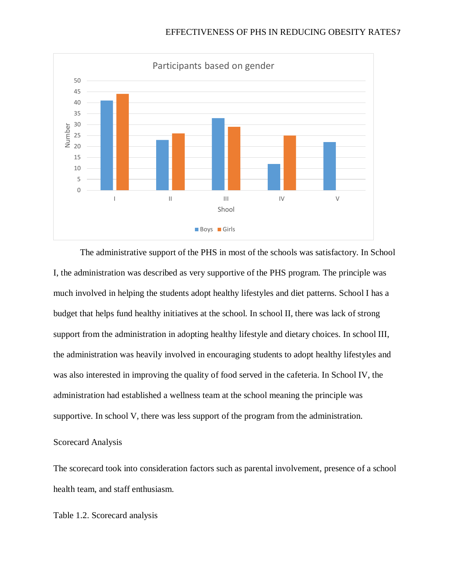

The administrative support of the PHS in most of the schools was satisfactory. In School I, the administration was described as very supportive of the PHS program. The principle was much involved in helping the students adopt healthy lifestyles and diet patterns. School I has a budget that helps fund healthy initiatives at the school. In school II, there was lack of strong support from the administration in adopting healthy lifestyle and dietary choices. In school III, the administration was heavily involved in encouraging students to adopt healthy lifestyles and was also interested in improving the quality of food served in the cafeteria. In School IV, the administration had established a wellness team at the school meaning the principle was supportive. In school V, there was less support of the program from the administration.

### Scorecard Analysis

The scorecard took into consideration factors such as parental involvement, presence of a school health team, and staff enthusiasm.

Table 1.2. Scorecard analysis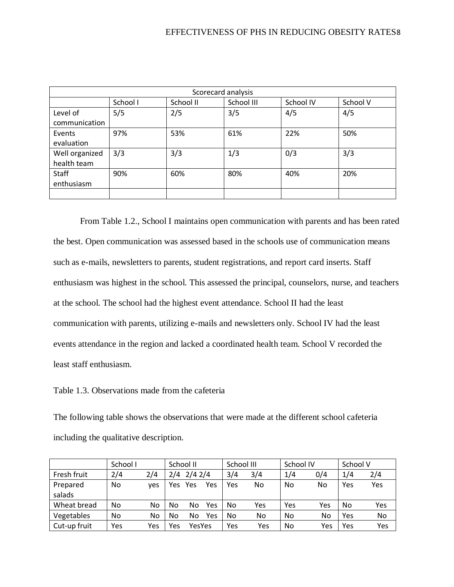| Scorecard analysis            |          |           |            |           |          |  |  |  |
|-------------------------------|----------|-----------|------------|-----------|----------|--|--|--|
|                               | School I | School II | School III | School IV | School V |  |  |  |
| Level of<br>communication     | 5/5      | 2/5       | 3/5        | 4/5       | 4/5      |  |  |  |
| Events<br>evaluation          | 97%      | 53%       | 61%        | 22%       | 50%      |  |  |  |
| Well organized<br>health team | 3/3      | 3/3       | 1/3        | 0/3       | 3/3      |  |  |  |
| Staff<br>enthusiasm           | 90%      | 60%       | 80%        | 40%       | 20%      |  |  |  |
|                               |          |           |            |           |          |  |  |  |

From Table 1.2., School I maintains open communication with parents and has been rated the best. Open communication was assessed based in the schools use of communication means such as e-mails, newsletters to parents, student registrations, and report card inserts. Staff enthusiasm was highest in the school. This assessed the principal, counselors, nurse, and teachers at the school. The school had the highest event attendance. School II had the least communication with parents, utilizing e-mails and newsletters only. School IV had the least events attendance in the region and lacked a coordinated health team. School V recorded the least staff enthusiasm.

Table 1.3. Observations made from the cafeteria

The following table shows the observations that were made at the different school cafeteria including the qualitative description.

|              | School I |     | School II |                   |     | School III |     | School IV |     | School V |     |
|--------------|----------|-----|-----------|-------------------|-----|------------|-----|-----------|-----|----------|-----|
| Fresh fruit  | 2/4      | 2/4 |           | $2/4$ $2/4$ $2/4$ |     | 3/4        | 3/4 | 1/4       | 0/4 | 1/4      | 2/4 |
| Prepared     | No       | ves | Yes       | Yes               | Yes | Yes        | No  | No        | No  | Yes      | Yes |
| salads       |          |     |           |                   |     |            |     |           |     |          |     |
| Wheat bread  | No       | No  | No        | No                | Yes | No         | Yes | Yes       | Yes | No       | Yes |
| Vegetables   | No       | No  | No        | No                | Yes | No         | No. | No        | No  | Yes      | No  |
| Cut-up fruit | Yes      | Yes | Yes       | YesYes            |     | Yes        | Yes | No        | Yes | Yes      | Yes |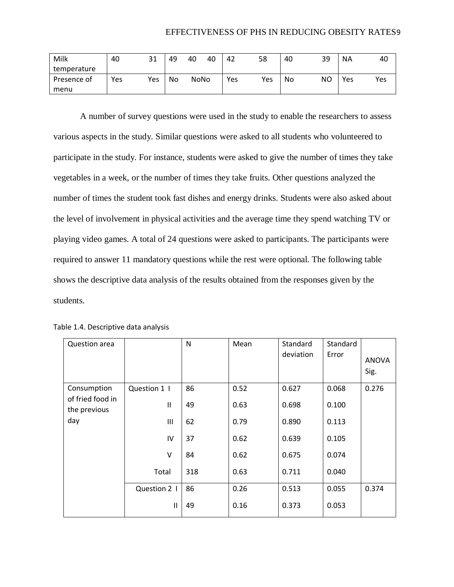| Milk        | 40  | 31  | 49 | 40          | 40 | 42  | 58  | 40 | 39 | <b>NA</b> | 40  |
|-------------|-----|-----|----|-------------|----|-----|-----|----|----|-----------|-----|
| temperature |     |     |    |             |    |     |     |    |    |           |     |
| Presence of | Yes | Yes | No | <b>NoNo</b> |    | Yes | Yes | No | NΟ | Yes       | Yes |
| menu        |     |     |    |             |    |     |     |    |    |           |     |

A number of survey questions were used in the study to enable the researchers to assess various aspects in the study. Similar questions were asked to all students who volunteered to participate in the study. For instance, students were asked to give the number of times they take vegetables in a week, or the number of times they take fruits. Other questions analyzed the number of times the student took fast dishes and energy drinks. Students were also asked about the level of involvement in physical activities and the average time they spend watching TV or playing video games. A total of 24 questions were asked to participants. The participants were required to answer 11 mandatory questions while the rest were optional. The following table shows the descriptive data analysis of the results obtained from the responses given by the students.

| Question area                    |              | N   | Mean | Standard<br>deviation | Standard<br>Error | <b>ANOVA</b><br>Sig. |
|----------------------------------|--------------|-----|------|-----------------------|-------------------|----------------------|
| Consumption                      | Question 1   | 86  | 0.52 | 0.627                 | 0.068             | 0.276                |
| of fried food in<br>the previous | Ш            | 49  | 0.63 | 0.698                 | 0.100             |                      |
| day                              | Ш            | 62  | 0.79 | 0.890                 | 0.113             |                      |
|                                  | IV           | 37  | 0.62 | 0.639                 | 0.105             |                      |
|                                  | V            | 84  | 0.62 | 0.675                 | 0.074             |                      |
|                                  | Total        | 318 | 0.63 | 0.711                 | 0.040             |                      |
|                                  | Question 2 1 | 86  | 0.26 | 0.513                 | 0.055             | 0.374                |
|                                  | Ш            | 49  | 0.16 | 0.373                 | 0.053             |                      |

Table 1.4. Descriptive data analysis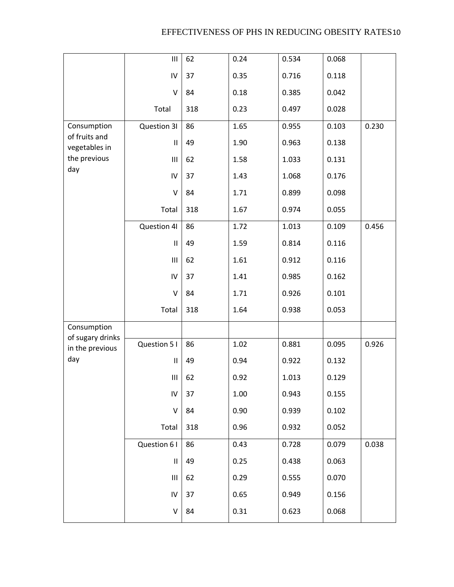|                                     | $\mathbf{III}$ | 62  | 0.24 | 0.534 | 0.068 |       |
|-------------------------------------|----------------|-----|------|-------|-------|-------|
|                                     | ${\sf IV}$     | 37  | 0.35 | 0.716 | 0.118 |       |
|                                     | V              | 84  | 0.18 | 0.385 | 0.042 |       |
|                                     | Total          | 318 | 0.23 | 0.497 | 0.028 |       |
| Consumption                         | Question 31    | 86  | 1.65 | 0.955 | 0.103 | 0.230 |
| of fruits and<br>vegetables in      | $\mathbf{II}$  | 49  | 1.90 | 0.963 | 0.138 |       |
| the previous                        | Ш              | 62  | 1.58 | 1.033 | 0.131 |       |
| day                                 | IV             | 37  | 1.43 | 1.068 | 0.176 |       |
|                                     | $\sf V$        | 84  | 1.71 | 0.899 | 0.098 |       |
|                                     | Total          | 318 | 1.67 | 0.974 | 0.055 |       |
|                                     | Question 41    | 86  | 1.72 | 1.013 | 0.109 | 0.456 |
|                                     | $\mathbf{II}$  | 49  | 1.59 | 0.814 | 0.116 |       |
|                                     | Ш              | 62  | 1.61 | 0.912 | 0.116 |       |
|                                     | IV             | 37  | 1.41 | 0.985 | 0.162 |       |
|                                     | V              | 84  | 1.71 | 0.926 | 0.101 |       |
|                                     | Total          | 318 | 1.64 | 0.938 | 0.053 |       |
| Consumption                         |                |     |      |       |       |       |
| of sugary drinks<br>in the previous | Question 5 I   | 86  | 1.02 | 0.881 | 0.095 | 0.926 |
| day                                 | $\mathbf{II}$  | 49  | 0.94 | 0.922 | 0.132 |       |
|                                     | Ш              | 62  | 0.92 | 1.013 | 0.129 |       |
|                                     | IV             | 37  | 1.00 | 0.943 | 0.155 |       |
|                                     | V              | 84  | 0.90 | 0.939 | 0.102 |       |
|                                     | Total          | 318 | 0.96 | 0.932 | 0.052 |       |
|                                     | Question 61    | 86  | 0.43 | 0.728 | 0.079 | 0.038 |
|                                     | $\mathbf{II}$  | 49  | 0.25 | 0.438 | 0.063 |       |
|                                     | Ш              | 62  | 0.29 | 0.555 | 0.070 |       |
|                                     | IV             | 37  | 0.65 | 0.949 | 0.156 |       |
|                                     | V              | 84  | 0.31 | 0.623 | 0.068 |       |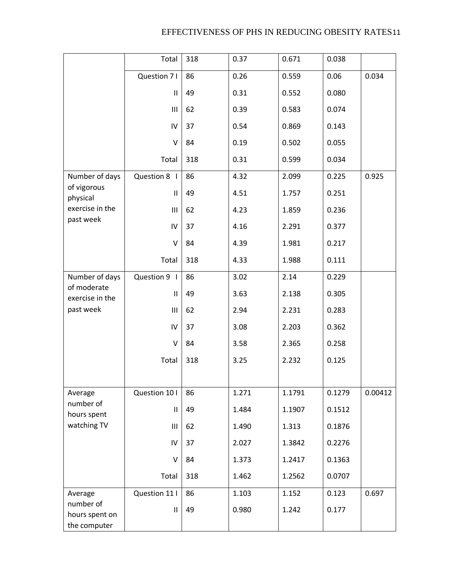|                                             | Total          | 318 | 0.37  | 0.671  | 0.038  |         |
|---------------------------------------------|----------------|-----|-------|--------|--------|---------|
|                                             | Question 71    | 86  | 0.26  | 0.559  | 0.06   | 0.034   |
|                                             | Ш              | 49  | 0.31  | 0.552  | 0.080  |         |
|                                             | Ш              | 62  | 0.39  | 0.583  | 0.074  |         |
|                                             | IV             | 37  | 0.54  | 0.869  | 0.143  |         |
|                                             | $\vee$         | 84  | 0.19  | 0.502  | 0.055  |         |
|                                             | Total          | 318 | 0.31  | 0.599  | 0.034  |         |
| Number of days                              | Question 8     | 86  | 4.32  | 2.099  | 0.225  | 0.925   |
| of vigorous<br>physical                     | Ш              | 49  | 4.51  | 1.757  | 0.251  |         |
| exercise in the                             | Ш              | 62  | 4.23  | 1.859  | 0.236  |         |
| past week                                   | IV             | 37  | 4.16  | 2.291  | 0.377  |         |
|                                             | $\vee$         | 84  | 4.39  | 1.981  | 0.217  |         |
|                                             | Total          | 318 | 4.33  | 1.988  | 0.111  |         |
| Number of days                              | Question 9     | 86  | 3.02  | 2.14   | 0.229  |         |
| of moderate<br>exercise in the              | $\mathbf{H}$   | 49  | 3.63  | 2.138  | 0.305  |         |
| past week                                   | Ш              | 62  | 2.94  | 2.231  | 0.283  |         |
|                                             | IV             | 37  | 3.08  | 2.203  | 0.362  |         |
|                                             | $\vee$         | 84  | 3.58  | 2.365  | 0.258  |         |
|                                             | Total          | 318 | 3.25  | 2.232  | 0.125  |         |
|                                             |                |     |       |        |        |         |
| Average                                     | Question 10 I  | 86  | 1.271 | 1.1791 | 0.1279 | 0.00412 |
| number of<br>hours spent                    | $\mathbf{II}$  | 49  | 1.484 | 1.1907 | 0.1512 |         |
| watching TV                                 | $\mathbf{III}$ | 62  | 1.490 | 1.313  | 0.1876 |         |
|                                             | IV             | 37  | 2.027 | 1.3842 | 0.2276 |         |
|                                             | $\vee$         | 84  | 1.373 | 1.2417 | 0.1363 |         |
|                                             | Total          | 318 | 1.462 | 1.2562 | 0.0707 |         |
| Average                                     | Question 11 I  | 86  | 1.103 | 1.152  | 0.123  | 0.697   |
| number of<br>hours spent on<br>the computer | $\sf II$       | 49  | 0.980 | 1.242  | 0.177  |         |
|                                             |                |     |       |        |        |         |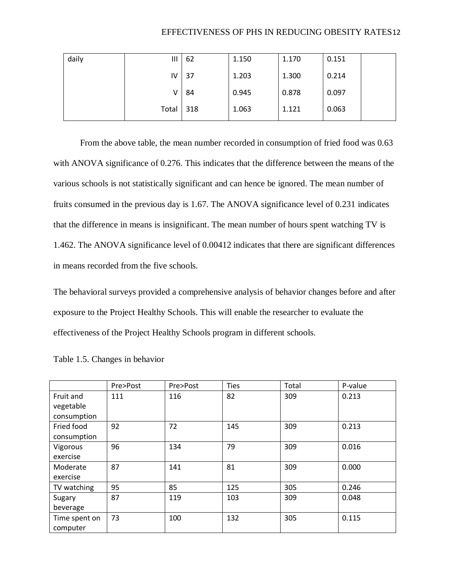| daily | Ш     | 62  | 1.150 | 1.170 | 0.151 |
|-------|-------|-----|-------|-------|-------|
|       | IV    | 37  | 1.203 | 1.300 | 0.214 |
|       |       | 84  | 0.945 | 0.878 | 0.097 |
|       | Total | 318 | 1.063 | 1.121 | 0.063 |

From the above table, the mean number recorded in consumption of fried food was 0.63 with ANOVA significance of 0.276. This indicates that the difference between the means of the various schools is not statistically significant and can hence be ignored. The mean number of fruits consumed in the previous day is 1.67. The ANOVA significance level of 0.231 indicates that the difference in means is insignificant. The mean number of hours spent watching TV is 1.462. The ANOVA significance level of 0.00412 indicates that there are significant differences in means recorded from the five schools.

The behavioral surveys provided a comprehensive analysis of behavior changes before and after exposure to the Project Healthy Schools. This will enable the researcher to evaluate the effectiveness of the Project Healthy Schools program in different schools.

|               | Pre>Post | Pre>Post | <b>Ties</b> | Total | P-value |
|---------------|----------|----------|-------------|-------|---------|
| Fruit and     | 111      | 116      | 82          | 309   | 0.213   |
| vegetable     |          |          |             |       |         |
| consumption   |          |          |             |       |         |
| Fried food    | 92       | 72       | 145         | 309   | 0.213   |
| consumption   |          |          |             |       |         |
| Vigorous      | 96       | 134      | 79          | 309   | 0.016   |
| exercise      |          |          |             |       |         |
| Moderate      | 87       | 141      | 81          | 309   | 0.000   |
| exercise      |          |          |             |       |         |
| TV watching   | 95       | 85       | 125         | 305   | 0.246   |
| Sugary        | 87       | 119      | 103         | 309   | 0.048   |
| beverage      |          |          |             |       |         |
| Time spent on | 73       | 100      | 132         | 305   | 0.115   |
| computer      |          |          |             |       |         |

Table 1.5. Changes in behavior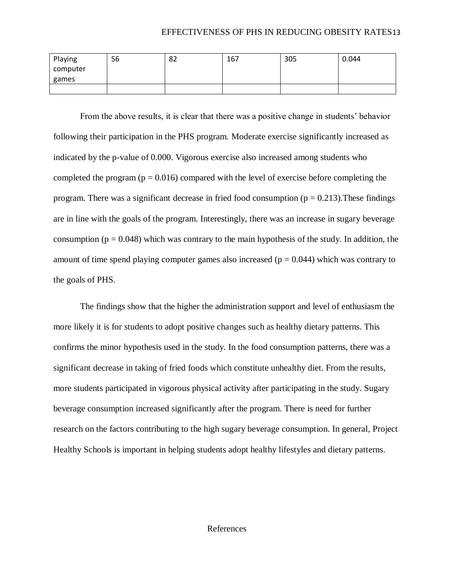| Playing  | 56 | 82 | 167 | 305 | 0.044 |
|----------|----|----|-----|-----|-------|
| computer |    |    |     |     |       |
| games    |    |    |     |     |       |
|          |    |    |     |     |       |

From the above results, it is clear that there was a positive change in students' behavior following their participation in the PHS program. Moderate exercise significantly increased as indicated by the p-value of 0.000. Vigorous exercise also increased among students who completed the program ( $p = 0.016$ ) compared with the level of exercise before completing the program. There was a significant decrease in fried food consumption ( $p = 0.213$ ). These findings are in line with the goals of the program. Interestingly, there was an increase in sugary beverage consumption ( $p = 0.048$ ) which was contrary to the main hypothesis of the study. In addition, the amount of time spend playing computer games also increased ( $p = 0.044$ ) which was contrary to the goals of PHS.

The findings show that the higher the administration support and level of enthusiasm the more likely it is for students to adopt positive changes such as healthy dietary patterns. This confirms the minor hypothesis used in the study. In the food consumption patterns, there was a significant decrease in taking of fried foods which constitute unhealthy diet. From the results, more students participated in vigorous physical activity after participating in the study. Sugary beverage consumption increased significantly after the program. There is need for further research on the factors contributing to the high sugary beverage consumption. In general, Project Healthy Schools is important in helping students adopt healthy lifestyles and dietary patterns.